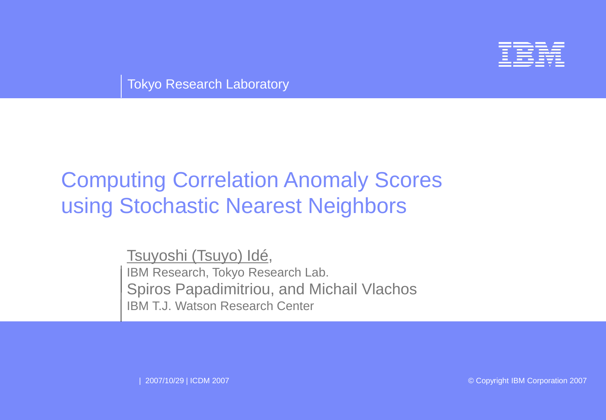

Tokyo Research Laboratory

# Computing Correlation Anomaly Scores using Stochastic Nearest Neighbors

Tsuyoshi (Tsuyo) Idé, IBM Research, Tokyo Research Lab. Spiros Papadimitriou, and Michail Vlachos IBM T.J. Watson Research Center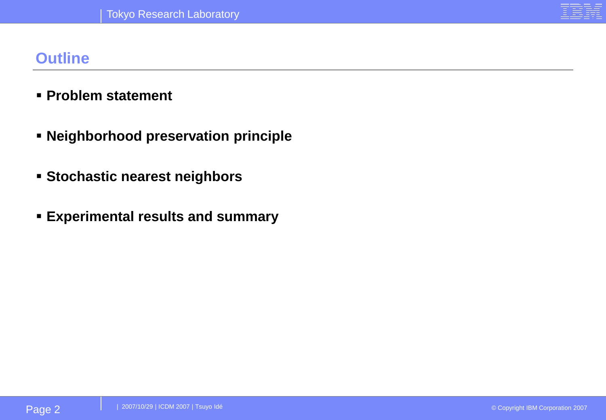#### **Outline**

- **Problem statement**
- **Neighborhood preservation principle**
- **Stochastic nearest neighbors**
- **Experimental results and summary**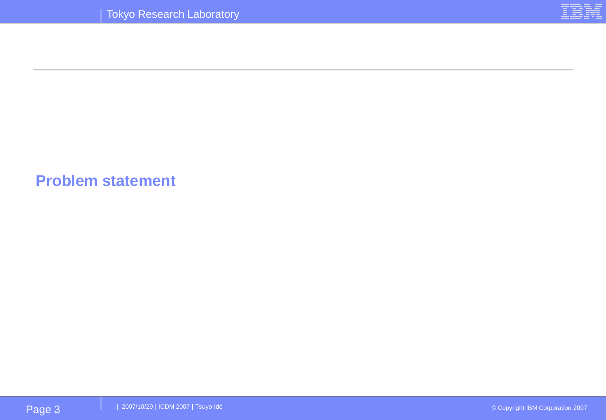#### **Problem statement**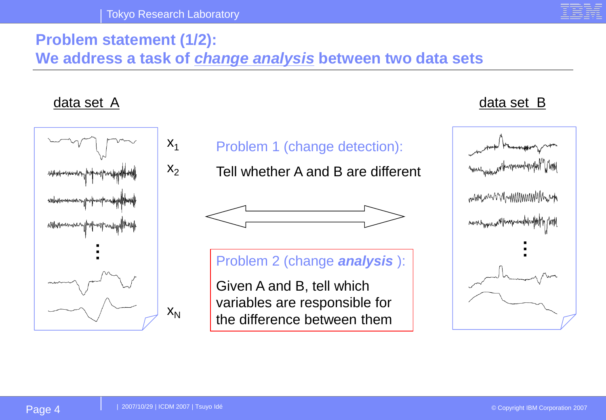

### **Problem statement (1/2): We address a task of** *change analysis* **between two data sets**

#### data set A data set B  $X_1$ Problem 1 (change detection):  $X_2$ Tell whether A and B are different mmunicumumumumumum marahyyannya/Hangaman/Mapa **……**Problem 2 (change *analysis* ): Given A and B, tell which variables are responsible for  $X_N$ the difference between them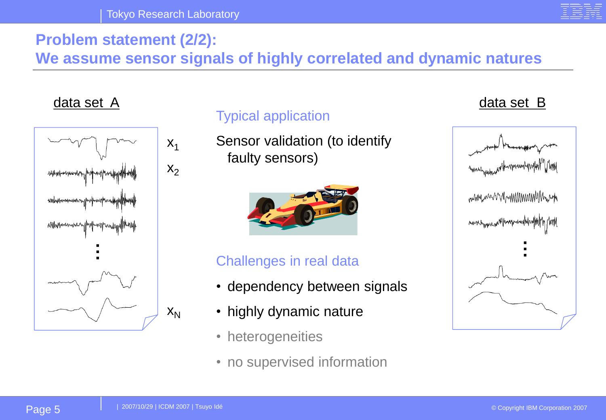# **Problem statement (2/2):**

**We assume sensor signals of highly correlated and dynamic natures**

#### data set A data set B



#### Typical application

Sensor validation (to identify faulty sensors)



#### Challenges in real data

- dependency between signals
- highly dynamic nature
- heterogeneities
- no supervised information

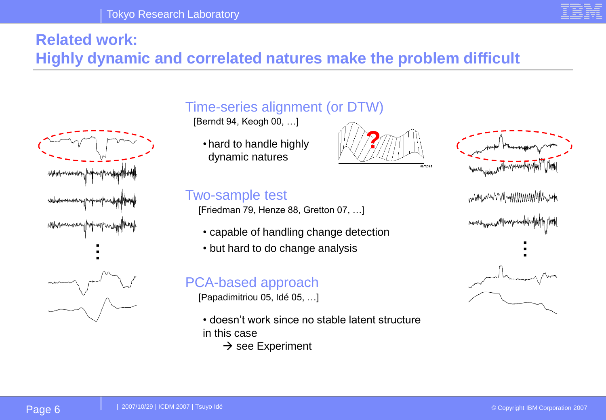# **Related work:**

#### **Highly dynamic and correlated natures make the problem difficult**



#### Time-series alignment (or DTW)

[Berndt 94, Keogh 00, …]

• hard to handle highly dynamic natures

#### Two-sample test

[Friedman 79, Henze 88, Gretton 07, …]

- capable of handling change detection
- but hard to do change analysis

#### PCA-based approach

[Papadimitriou 05, Idé 05, …]

- doesn't work since no stable latent structure in this case
	- $\rightarrow$  see Experiment





mundownnmmmmmm **…**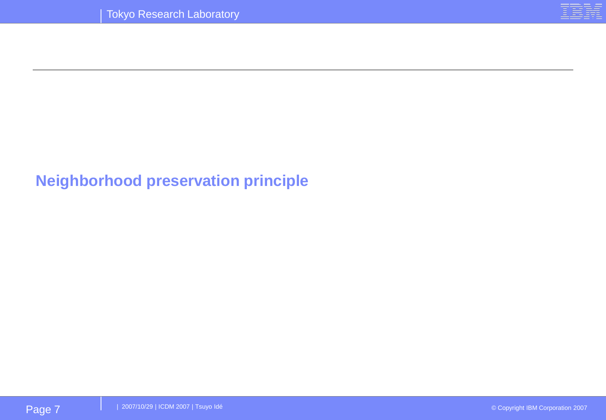

#### **Neighborhood preservation principle**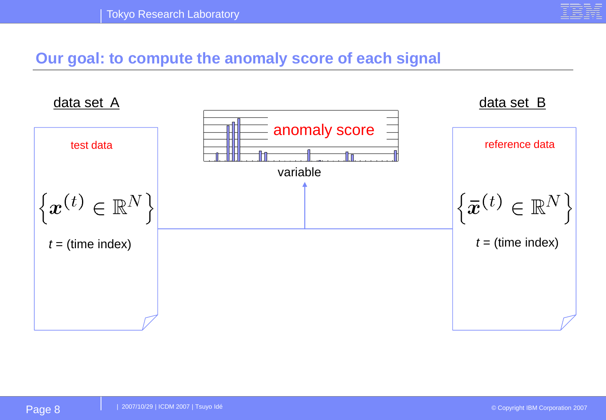

#### **Our goal: to compute the anomaly score of each signal**

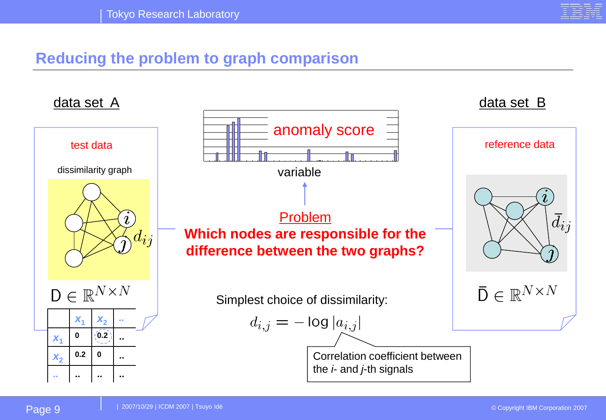

#### **Reducing the problem to graph comparison**

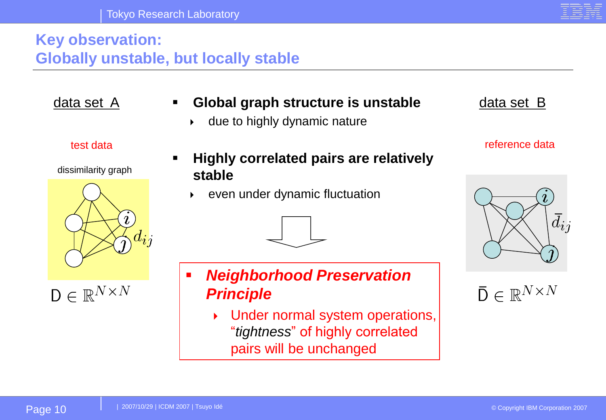#### **Key observation: Globally unstable, but locally stable**

#### data set A **Theore Combal graph structure is unstable** and that a data set B

 $\rightarrow$  due to highly dynamic nature

dissimilarity graph

#### **Highly correlated pairs are relatively stable**

even under dynamic fluctuation

# **Neighborhood Preservation** *Principle*

 Under normal system operations, "*tightness*" of highly correlated pairs will be unchanged

test data reference data

 $\bar{\mathsf{D}} \in \mathbb{R}^{N \times N}$ 

 $\bar{d}_{ij}$ 







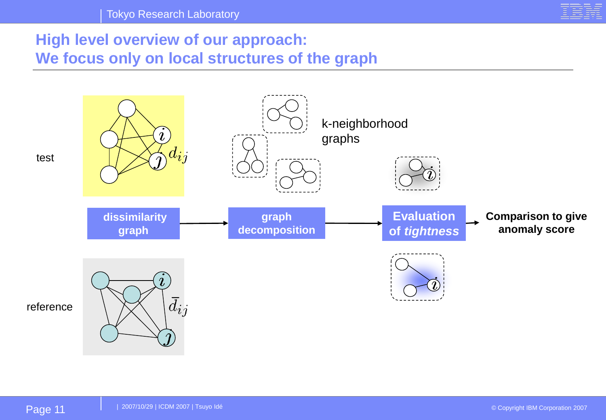

#### **High level overview of our approach: We focus only on local structures of the graph**



test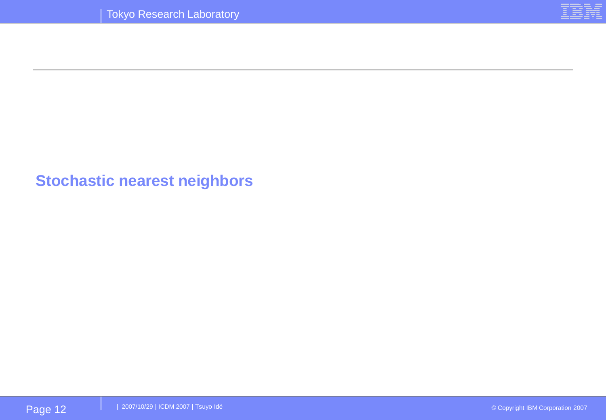

#### **Stochastic nearest neighbors**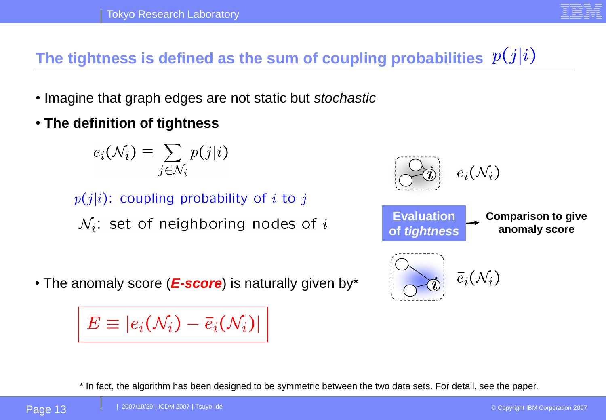The tightness is defined as the sum of coupling probabilities  $p(j|i)$ 

- Imagine that graph edges are not static but *stochastic*
- **The definition of tightness**

$$
e_i(\mathcal{N}_i) \equiv \sum_{j \in \mathcal{N}_i} p(j|i)
$$

 $p(j|i)$ : coupling probability of i to j

 $\mathcal{N}_i$ : set of neighboring nodes of i

• The anomaly score (*E-score*) is naturally given by\*

 $E \equiv |e_i(\mathcal{N}_i) - \overline{e}_i(\mathcal{N}_i)|$ 



\* In fact, the algorithm has been designed to be symmetric between the two data sets. For detail, see the paper.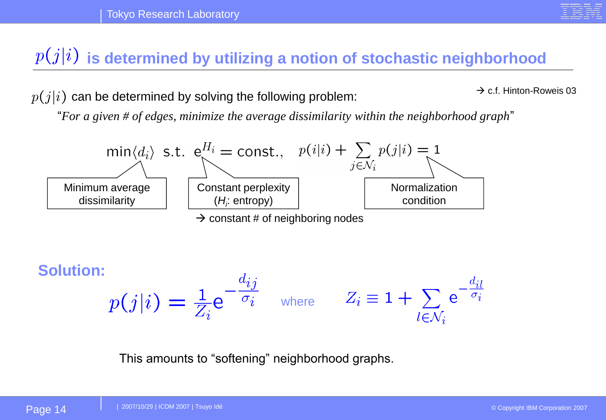## $\hat{p}(j|i)$  is determined by utilizing a notion of stochastic neighborhood

 $p(j|i)$  can be determined by solving the following problem:

 $\rightarrow$  c.f. Hinton-Roweis 03

"*For a given # of edges, minimize the average dissimilarity within the neighborhood graph*"



 $\rightarrow$  constant # of neighboring nodes

**Solution:**  $p(j|i) = \frac{1}{Z_i} e^{-\frac{d_{ij}}{\sigma_i}}$  where  $Z_i \equiv 1 + \sum_{l \in \mathcal{N}_i} e^{-\frac{a_{il}}{\sigma_i}}$ 

This amounts to "softening" neighborhood graphs.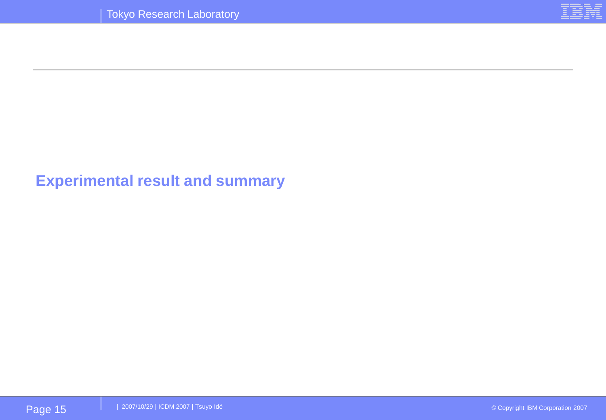

#### **Experimental result and summary**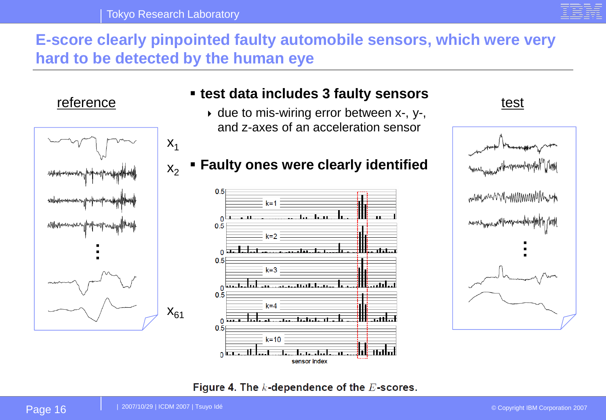

#### **E-score clearly pinpointed faulty automobile sensors, which were very hard to be detected by the human eye**



#### ▪ **test data includes 3 faulty sensors**

 $\rightarrow$  due to mis-wiring error between x-, y-, and z-axes of an acceleration sensor

#### $0.5$  $k = 1$  $0.5$  $k=2$  $\Omega$  $0.5$  $k = 3$  $0.5$  $k = 4$ تست ن  $0.\overline{5}$  $k = 10$ اطات  $0$  Lebes sensor index

# reference test test and molded britainly sensors that the test **Faulty ones were clearly identified** www.www.mnmmmmmmmmmmm **…**

#### Figure 4. The  $k$ -dependence of the  $E$ -scores.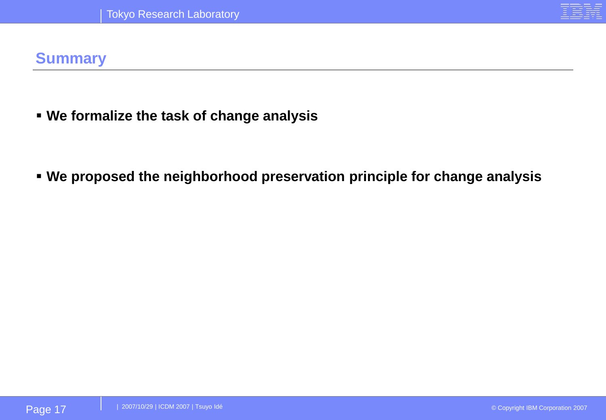

#### **Summary**

▪ **We formalize the task of change analysis**

▪ **We proposed the neighborhood preservation principle for change analysis**